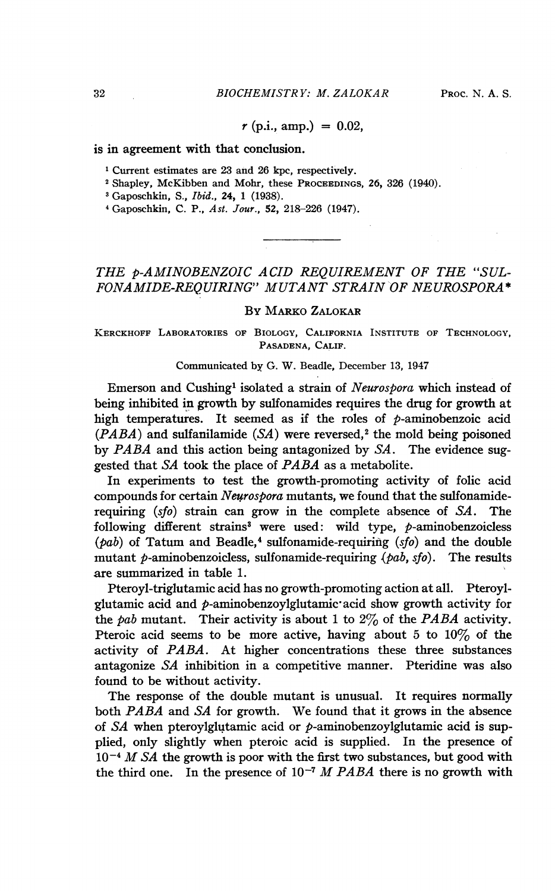$r$  (p.i., amp.) = 0.02,

#### is in agreement with that conclusion.

<sup>1</sup> Current estimates are 23 and 26 kpc, respectively.

<sup>2</sup> Shapley, McKibben and Mohr, these PROCEEDINGS, 26, 326 (1940).

<sup>3</sup> Gaposchkin, S., *Ibid.*, 24, 1 (1938).

<sup>4</sup> Gaposchkin, C. P., Ast. Jour., 52, 218-226 (1947).

# THE p-AMINOBENZOIC ACID REQUIREMENT OF THE "SUL-FONAMIDE-REQUIRING" MUTANT STRAIN OF NEUROSPORA\*

### By MARKO ZALOKAR

KERCKHOFF LABORATORIES OF BIOLOGY, CALIFORNIA INSTITUTE OF TECHNOLOGY, PASADENA, CALIF.

#### Communicated by G. W. Beadle, December 13, 1947

Emerson and Cushing<sup>1</sup> isolated a strain of Neurospora which instead of being inhibited in growth by sulfonamides requires the drug for growth at high temperatures. It seemed as if the roles of  $p$ -aminobenzoic acid  $(PABA)$  and sulfanilamide  $(SA)$  were reversed,<sup>2</sup> the mold being poisoned by PABA and this action being antagonized by SA. The evidence suggested that SA took the place of PABA as <sup>a</sup> metabolite.

In experiments to test the growth-promoting activity of folic acid compounds for certain Neurospora mutants, we found that the sulfonamiderequiring  $(sfo)$  strain can grow in the complete absence of  $SA$ . The following different strains<sup>3</sup> were used: wild type,  $p$ -aminobenzoicless  $(\rho ab)$  of Tatum and Beadle,<sup>4</sup> sulfonamide-requiring  $(sfo)$  and the double mutant p-aminobenzoicless, sulfonamide-requiring  $(\rho ab, sfo)$ . The results are summarized in table 1.

Pteroyl-triglutamic acid has no growth-promoting action at all. Pteroylglutamic acid and  $p$ -aminobenzoylglutamic acid show growth activity for the pab mutant. Their activity is about 1 to  $2\%$  of the PABA activity. Pteroic acid seems to be more active, having about 5 to  $10\%$  of the activity of PABA. At higher concentrations these three substances antagonize SA inhibition in a competitive manner. Pteridine was also found to be without activity.

The response of the double mutant is unusual. It requires normally both PABA and SA for growth. We found that it grows in the absence of  $SA$  when pteroylglutamic acid or  $p$ -aminobenzoylglutamic acid is supplied, only slightly when pteroic acid is supplied. In the presence of  $10^{-4}$  M SA the growth is poor with the first two substances, but good with the third one. In the presence of  $10^{-7}$  M PABA there is no growth with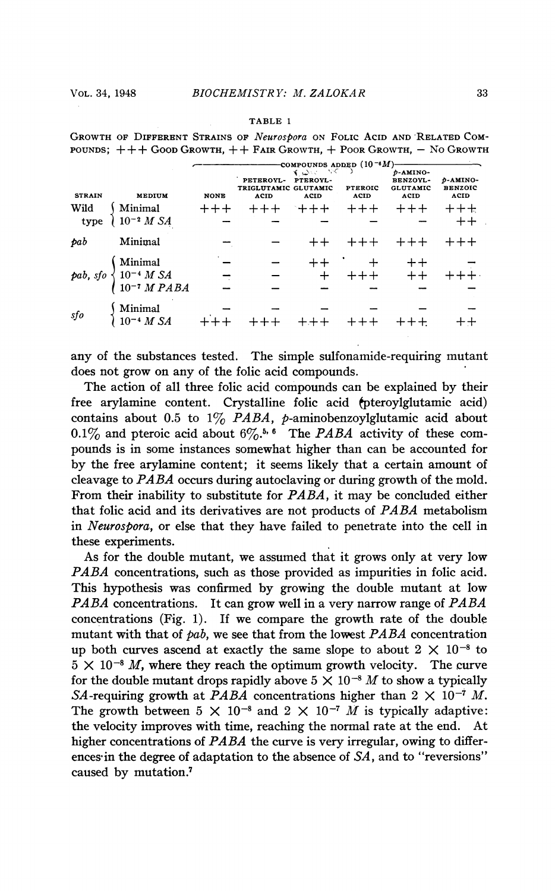#### TABLE <sup>1</sup>

GROWTH OF DIFFERENT STRAINS OF Neurospora ON FOLIC ACID AND RELATED COM-POUNDS;  $++$   $+$  Good Growth,  $++$  FAIR Growth,  $+$  Poor Growth,  $-$  No Growth

|               |                                                                                             | -compounds added $(10^{-6}M)$ |                                                  |                            |                        |                                                                |                                    |
|---------------|---------------------------------------------------------------------------------------------|-------------------------------|--------------------------------------------------|----------------------------|------------------------|----------------------------------------------------------------|------------------------------------|
| <b>STRAIN</b> | <b>MEDIUM</b>                                                                               | <b>NONE</b>                   | PETEROYL-<br>TRIGLUTAMIC GLUTAMIC<br><b>ACID</b> | そうべ バー<br>PTEROYL-<br>ACID | <b>PTEROIC</b><br>ACID | <i>b</i> -AMINO-<br><b>BENZOYL-</b><br><b>GLUTAMIC</b><br>ACID | D-AMINO-<br><b>BENZOIC</b><br>ACID |
| Wild          |                                                                                             | $++++$                        |                                                  | $+ + +$                    | $+++$                  | $+++$                                                          | $++++$                             |
| type          | $\left\{\begin{array}{l}\text{Minimal} \\ \text{10}^{-2} \; M \; S\!A \end{array}\right.$   |                               |                                                  |                            |                        |                                                                | $+ +$                              |
| pab           | Minimal                                                                                     |                               |                                                  |                            |                        |                                                                | $+++$                              |
|               |                                                                                             |                               |                                                  |                            |                        |                                                                |                                    |
|               |                                                                                             |                               |                                                  |                            |                        | ` + ++<br>+++ ++                                               |                                    |
|               | pab, sfo $\begin{cases} \text{Minimal} \\ 10^{-4} M S A \\ 10^{-7} M PABA \end{cases}$      |                               |                                                  |                            |                        |                                                                |                                    |
| sfo           | $\left\{ \begin{array}{ll} \text{Minimal} \\ 10^{-4} \; M \; \text{SA} \end{array} \right.$ |                               |                                                  |                            |                        |                                                                |                                    |
|               |                                                                                             |                               |                                                  |                            |                        |                                                                |                                    |
|               |                                                                                             |                               |                                                  |                            |                        |                                                                |                                    |

any of the substances tested. The simple sulfonamide-requiring mutant does not grow on any of the folic acid compounds.

The action of all three folic acid compounds can be explained by their free arylamine content. Crystalline folic acid (pteroylglutamic acid) contains about 0.5 to  $1\%$  *PABA*, *p*-aminobenzoylglutamic acid about 0.1% and pteroic acid about  $6\%$ .<sup>5, 6</sup> The *PABA* activity of these compounds is in some instances somewhat higher than can be accounted for by the free arylamine content; it seems likely that a certain amount of cleavage to  $PABA$  occurs during autoclaving or during growth of the mold. From their inability to substitute for PABA, it may be concluded either that folic acid and its derivatives are not products of PABA metabolism in Neurospora, or else that they have failed to penetrate into the cell in these experiments.

As for the double mutant, we assumed that it grows only at very low PABA concentrations, such as those provided as impurities in folic acid. This hypothesis was confirmed by growing the double mutant at low PABA concentrations. It can grow well in a very narrow range of  $PABA$ concentrations (Fig. 1). If we compare the growth rate of the double mutant with that of  $pab$ , we see that from the lowest  $PABA$  concentration up both curves ascend at exactly the same slope to about  $2 \times 10^{-8}$  to  $5 \times 10^{-8}$  M, where they reach the optimum growth velocity. The curve for the double mutant drops rapidly above  $5 \times 10^{-8}$  M to show a typically SA-requiring growth at PABA concentrations higher than  $2 \times 10^{-7}$  M. The growth between  $5 \times 10^{-8}$  and  $2 \times 10^{-7}$  *M* is typically adaptive: the velocity improves with time, reaching the normal rate at the end. At higher concentrations of PABA the curve is very irregular, owing to differences in the degree of adaptation to the absence of SA, and to "reversions" caused by mutation.7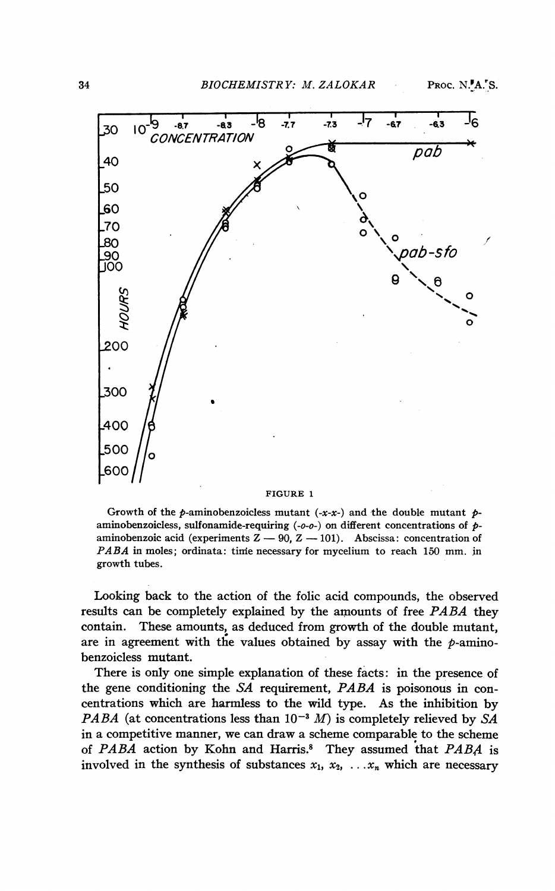

#### FIGURE <sup>1</sup>

Growth of the p-aminobenzoicless mutant  $(-x-x)$  and the double mutant paminobenzoicless, sulfonamide-requiring  $(-o-o-)$  on different concentrations of  $p$ aminobenzoic acid (experiments  $Z - 90$ ,  $Z - 101$ ). Abscissa: concentration of PABA in moles; ordinata: time necessary for mycelium to reach 150 mm. in growth tubes.

Looking back to the action of the folic acid compounds, the observed results can be completely explained by the amounts of free PABA they contain. These amounts, as deduced from growth of the double mutant, are in agreement with the values obtained by assay with the  $p$ -aminobenzoicless mutant.

There is only one simple explanation of these facts: in the presence of the gene conditioning the SA requirement, PABA is poisonous in concentrations which are harmless to the wild type. As the inhibition by PABA (at concentrations less than  $10^{-3}$  M) is completely relieved by SA in a competitive manner, we can draw a scheme comparable to the scheme of PABA action by Kohn and Harris.<sup>8</sup> They assumed that PABA is involved in the synthesis of substances  $x_1, x_2, \ldots, x_n$  which are necessary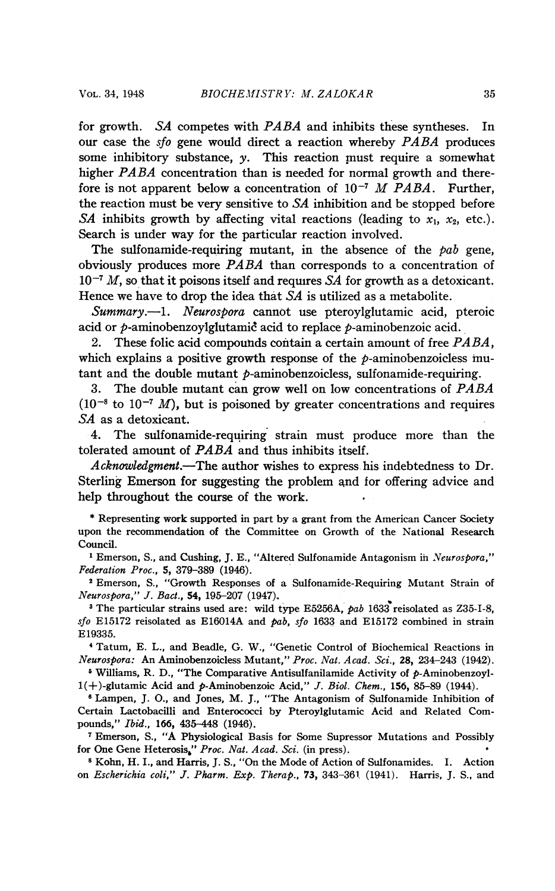for growth. SA competes with PABA and inhibits these syntheses. In our case the sfo gene would direct <sup>a</sup> reaction whereby PABA produces some inhibitory substance,  $y$ . This reaction must require a somewhat higher PABA concentration than is needed for normal growth and therefore is not apparent below a concentration of  $10^{-7}$  M PABA. Further, the reaction must be very sensitive to SA inhibition and be stopped before SA inhibits growth by affecting vital reactions (leading to  $x_1$ ,  $x_2$ , etc.). Search is under way for the particular reaction involved.

The sulfonamide-requiring mutant, in the absence of the  $pab$  gene, obviously produces more PABA than corresponds to <sup>a</sup> concentration of  $10^{-7}$  M, so that it poisons itself and requires SA for growth as a detoxicant. Hence we have to drop the idea that SA is utilized as a metabolite.

Summary.--1. Neurospora cannot use pteroylglutamic acid, pteroic acid or  $p$ -aminobenzoylglutamic acid to replace  $p$ -aminobenzoic acid.

2. These folic acid compounds contain a certain amount of free  $PABA$ , which explains a positive growth response of the  $p$ -aminobenzoicless mutant and the double mutant  $p$ -aminobenzoicless, sulfonamide-requiring.

3. The double mutant can grow well on low concentrations of PABA  $(10^{-8}$  to  $10^{-7}$  *M*), but is poisoned by greater concentrations and requires SA as a detoxicant.

4. The sulfonamide-requiring strain must produce more than the tolerated amount of PABA and thus inhibits itself.

Acknowledgment.-The author wishes to express his indebtedness to Dr. Sterling Emerson for suggesting the problem and for offering advice and help throughout the course of the work.

\* Representing work supported in part by a grant from the American Cancer Society upon the recommendation of the Committee on Growth of the National Research Council.

<sup>1</sup> Emerson, S., and Cushing, J. E., "Altered Sulfonamide Antagonism in Neurospora," Federation Proc., 5, 379-389 (1946).

<sup>2</sup> Emerson, S., "Growth Responses of a Sulfonamide-Requiring Mutant Strain of Neurospora," J. Bact., 54, 195-207 (1947).

<sup>3</sup> The particular strains used are: wild type E5256A, pab 1633 reisolated as Z35-I-8, sfo E15172 reisolated as E16014A and  $pab$ , sfo 1633 and E15172 combined in strain E19335.

4Tatum, E. L., and Beadle, G. W., "Genetic Control of Biochemical Reactions in Neurospora: An Aminobenzoicless Mutant," Proc. Nat. Acad. Sci., 28, 234-243 (1942).

<sup>5</sup> Williams, R. D., "The Comparative Antisulfanilamide Activity of  $p$ -Aminobenzoyl- $1(+)$ -glutamic Acid and  $p$ -Aminobenzoic Acid," J. Biol. Chem., 156, 85-89 (1944).

<sup>6</sup> Lampen, J. O., and Jones, M. J., "The Antagonism of Sulfonamide Inhibition of Certain Lactobacilli and Enterococci by Pteroylglutamic Acid and Related Compounds," Ibid., 166, 435-448 (1946).

<sup>7</sup> Emerson, S., "A Physiological Basis for Some Supressor Mutations and Possibly for One Gene Heterosis," Proc. Nat. Acad. Sci. (in press).

<sup>8</sup> Kohn, H. I., and Harris, J. S., "On the Mode of Action of Sulfonamides. I. Action on Escherichia coli," J. Pharm. Exp. Therap., 73, 343-361 (1941). Harris, J. S., and